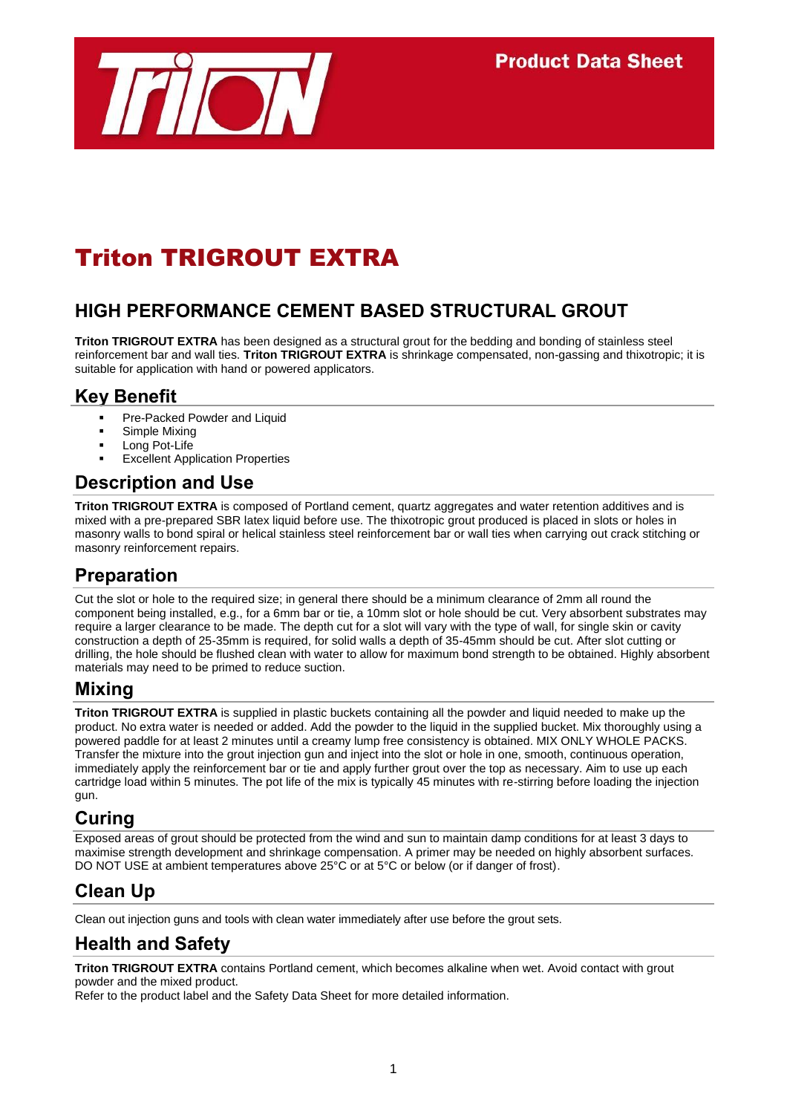

# Triton TRIGROUT EXTRA

## **HIGH PERFORMANCE CEMENT BASED STRUCTURAL GROUT**

**Triton TRIGROUT EXTRA** has been designed as a structural grout for the bedding and bonding of stainless steel reinforcement bar and wall ties. **Triton TRIGROUT EXTRA** is shrinkage compensated, non-gassing and thixotropic; it is suitable for application with hand or powered applicators.

#### **Key Benefit**

- Pre-Packed Powder and Liquid
- Simple Mixing
- **Long Pot-Life**
- Excellent Application Properties

#### **Description and Use**

**Triton TRIGROUT EXTRA** is composed of Portland cement, quartz aggregates and water retention additives and is mixed with a pre-prepared SBR latex liquid before use. The thixotropic grout produced is placed in slots or holes in masonry walls to bond spiral or helical stainless steel reinforcement bar or wall ties when carrying out crack stitching or masonry reinforcement repairs.

### **Preparation**

Cut the slot or hole to the required size; in general there should be a minimum clearance of 2mm all round the component being installed, e.g., for a 6mm bar or tie, a 10mm slot or hole should be cut. Very absorbent substrates may require a larger clearance to be made. The depth cut for a slot will vary with the type of wall, for single skin or cavity construction a depth of 25-35mm is required, for solid walls a depth of 35-45mm should be cut. After slot cutting or drilling, the hole should be flushed clean with water to allow for maximum bond strength to be obtained. Highly absorbent materials may need to be primed to reduce suction.

### **Mixing**

**Triton TRIGROUT EXTRA** is supplied in plastic buckets containing all the powder and liquid needed to make up the product. No extra water is needed or added. Add the powder to the liquid in the supplied bucket. Mix thoroughly using a powered paddle for at least 2 minutes until a creamy lump free consistency is obtained. MIX ONLY WHOLE PACKS. Transfer the mixture into the grout injection gun and inject into the slot or hole in one, smooth, continuous operation, immediately apply the reinforcement bar or tie and apply further grout over the top as necessary. Aim to use up each cartridge load within 5 minutes. The pot life of the mix is typically 45 minutes with re-stirring before loading the injection gun.

### **Curing**

Exposed areas of grout should be protected from the wind and sun to maintain damp conditions for at least 3 days to maximise strength development and shrinkage compensation. A primer may be needed on highly absorbent surfaces. DO NOT USE at ambient temperatures above 25°C or at 5°C or below (or if danger of frost).

## **Clean Up**

Clean out injection guns and tools with clean water immediately after use before the grout sets.

## **Health and Safety**

**Triton TRIGROUT EXTRA** contains Portland cement, which becomes alkaline when wet. Avoid contact with grout powder and the mixed product.

Refer to the product label and the Safety Data Sheet for more detailed information.